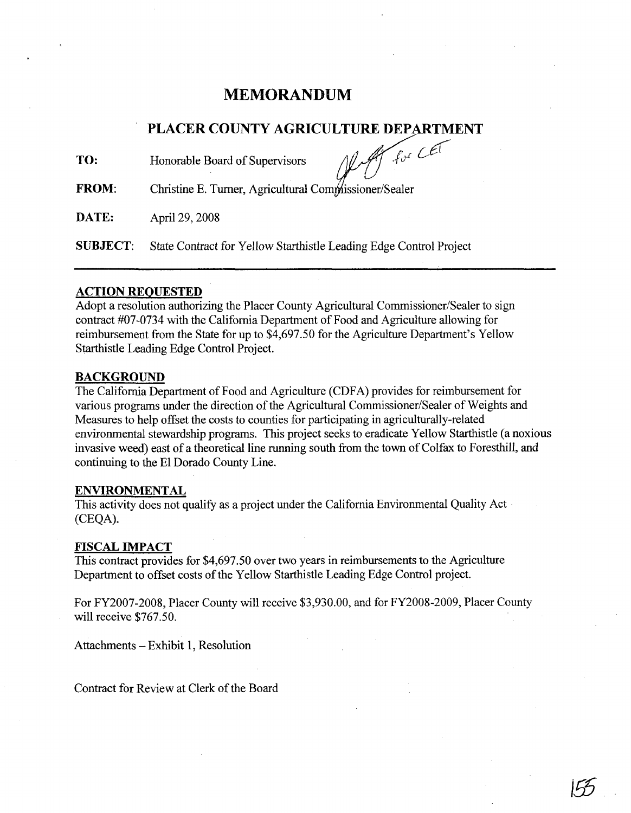# **MEMORANDUM**

# **PLACER COUNTY AGRICULTURE DEPARTMENT**

**TO:**

Honorable Board of Supervisors *MAT* for CET

**FROM:** Christine E. Turner, Agricultural Co

**DATE:** April 29, 2008

**SUBJECT:** State Contract for Yellow Starthistle Leading Edge Control Project

## **ACTION REQUESTED**

Adopt a resolution authorizing the Placer County Agricultural Commissioner/Sealer to sign contract #07-0734 with the California Department of Food and Agriculture allowing for reimbursement from the State for up to \$4,697.50 for the Agriculture Department's Yellow Starthistle Leading Edge Control Project.

# **BACKGROUND**

The California Department of Food and Agriculture (CDFA) provides for reimbursement for various programs under the direction of the Agricultural Commissioner/Sealer of Weights and Measures to help offset the costs to counties for participating in agriculturally-related environmental stewardship programs. This project seeks to eradicate Yellow Starthistle (a noxious invasive weed) east of a theoretical line running south from the town of Colfax to Foresthill, and continuing to the **El** Dorado County Line.

#### **ENVIRONMENTAL**

This activity does not qualify as a project under the California Environmental Quality Act (CEQA).

#### **FISCAL IMPACT**

This contract provides for \$4,697.50 over two years in reimbursements to the Agriculture Department to offset costs of the Yellow Starthistle Leading Edge Control project.

For FY2007-2008, Placer County will receive \$3,930.00, and for FY2008-2009, Placer County will receive \$767.50.

**Jm**

Attachments - Exhibit 1, Resolution

Contract for Review at Clerk of the Board